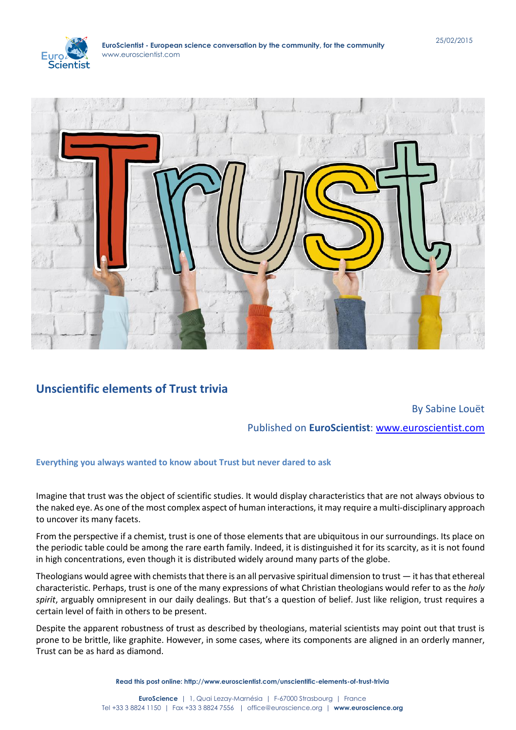



## **Unscientific elements of Trust trivia**

## By Sabine Louët

Published on **EuroScientist**: [www.euroscientist.com](http://www.euroscientist.com/)

## **Everything you always wanted to know about Trust but never dared to ask**

Imagine that trust was the object of scientific studies. It would display characteristics that are not always obvious to the naked eye. As one of the most complex aspect of human interactions, it may require a multi-disciplinary approach to uncover its many facets.

From the perspective if a chemist, trust is one of those elements that are ubiquitous in our surroundings. Its place on the periodic table could be among the rare earth family. Indeed, it is distinguished it for its scarcity, as it is not found in high concentrations, even though it is distributed widely around many parts of the globe.

Theologians would agree with chemists that there is an all pervasive spiritual dimension to trust — it has that ethereal characteristic. Perhaps, trust is one of the many expressions of what Christian theologians would refer to as the *holy spirit*, arguably omnipresent in our daily dealings. But that's a question of belief. Just like religion, trust requires a certain level of faith in others to be present.

Despite the apparent robustness of trust as described by theologians, material scientists may point out that trust is prone to be brittle, like graphite. However, in some cases, where its components are aligned in an orderly manner, Trust can be as hard as diamond.

**Read this post online: http://www.euroscientist.com/unscientific-elements-of-trust-trivia**